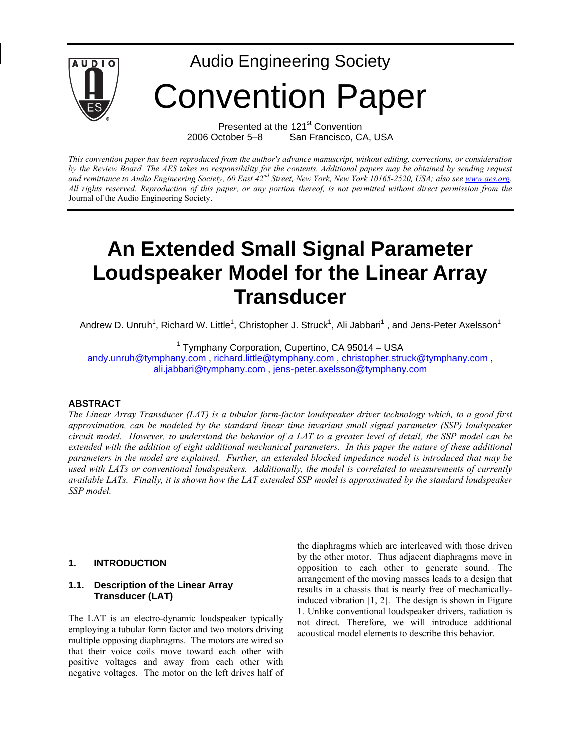

Presented at the 121<sup>st</sup> Convention 2006 October 5–8 San Francisco, CA, USA

*This convention paper has been reproduced from the author's advance manuscript, without editing, corrections, or consideration by the Review Board. The AES takes no responsibility for the contents. Additional papers may be obtained by sending request*  and remittance to Audio Engineering Society, 60 East 42<sup>nd</sup> Street, New York, New York 10165-2520, USA; also see [www.aes.org.](http://www.aes.org/) *All rights reserved. Reproduction of this paper, or any portion thereof, is not permitted without direct permission from the* Journal of the Audio Engineering Society.

# **An Extended Small Signal Parameter Loudspeaker Model for the Linear Array Transducer**

Andrew D. Unruh<sup>1</sup>, Richard W. Little<sup>1</sup>, Christopher J. Struck<sup>1</sup>, Ali Jabbari<sup>1</sup>, and Jens-Peter Axelsson<sup>1</sup>

<sup>1</sup> Tymphany Corporation, Cupertino, CA 95014 - USA

[andy.unruh@tymphany.com](mailto:andy.unruh@tymphany.com) , [richard.little@tymphany.com](mailto:richard.little@tymphany.com) , [christopher.struck@tymphany.com](mailto:christopher.struck@tymphany.com) , [ali.jabbari@tymphany.com](mailto:ali.jabbari@tymphany.com) , [jens-peter.axelsson@tymphany.com](mailto:jens-peter.axelsson@tymphany.com)

## **ABSTRACT**

*The Linear Array Transducer (LAT) is a tubular form-factor loudspeaker driver technology which, to a good first approximation, can be modeled by the standard linear time invariant small signal parameter (SSP) loudspeaker circuit model. However, to understand the behavior of a LAT to a greater level of detail, the SSP model can be extended with the addition of eight additional mechanical parameters. In this paper the nature of these additional parameters in the model are explained. Further, an extended blocked impedance model is introduced that may be used with LATs or conventional loudspeakers. Additionally, the model is correlated to measurements of currently available LATs. Finally, it is shown how the LAT extended SSP model is approximated by the standard loudspeaker SSP model.* 

#### **1. INTRODUCTION**

#### **1.1. Description of the Linear Array Transducer (LAT)**

The LAT is an electro-dynamic loudspeaker typically employing a tubular form factor and two motors driving multiple opposing diaphragms. The motors are wired so that their voice coils move toward each other with positive voltages and away from each other with negative voltages. The motor on the left drives half of the diaphragms which are interleaved with those driven by the other motor. Thus adjacent diaphragms move in opposition to each other to generate sound. The arrangement of the moving masses leads to a design that results in a chassis that is nearly free of mechanicallyinduced vibration [1, 2]. The design is shown in Figure 1. Unlike conventional loudspeaker drivers, radiation is not direct. Therefore, we will introduce additional acoustical model elements to describe this behavior.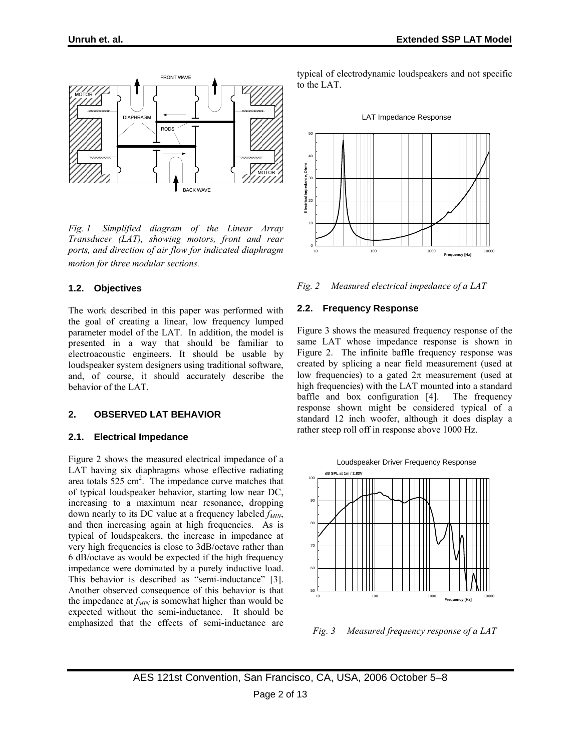

*Fig. 1 Simplified diagram of the Linear Array Transducer (LAT), showing motors, front and rear ports, and direction of air flow for indicated diaphragm motion for three modular sections.* 

## **1.2. Objectives**

The work described in this paper was performed with the goal of creating a linear, low frequency lumped parameter model of the LAT. In addition, the model is presented in a way that should be familiar to electroacoustic engineers. It should be usable by loudspeaker system designers using traditional software, and, of course, it should accurately describe the behavior of the LAT.

## **2. OBSERVED LAT BEHAVIOR**

## **2.1. Electrical Impedance**

Figure 2 shows the measured electrical impedance of a LAT having six diaphragms whose effective radiating area totals  $525 \text{ cm}^2$ . The impedance curve matches that of typical loudspeaker behavior, starting low near DC, increasing to a maximum near resonance, dropping down nearly to its DC value at a frequency labeled  $f_{MIN}$ , and then increasing again at high frequencies. As is typical of loudspeakers, the increase in impedance at very high frequencies is close to 3dB/octave rather than 6 dB/octave as would be expected if the high frequency impedance were dominated by a purely inductive load. This behavior is described as "semi-inductance" [3]. Another observed consequence of this behavior is that the impedance at  $f_{MIN}$  is somewhat higher than would be expected without the semi-inductance. It should be emphasized that the effects of semi-inductance are

typical of electrodynamic loudspeakers and not specific to the LAT.



*Fig. 2 Measured electrical impedance of a LAT* 

## **2.2. Frequency Response**

Figure 3 shows the measured frequency response of the same LAT whose impedance response is shown in Figure 2. The infinite baffle frequency response was created by splicing a near field measurement (used at low frequencies) to a gated  $2\pi$  measurement (used at high frequencies) with the LAT mounted into a standard baffle and box configuration [4]. The frequency response shown might be considered typical of a standard 12 inch woofer, although it does display a rather steep roll off in response above 1000 Hz.



*Fig. 3 Measured frequency response of a LAT*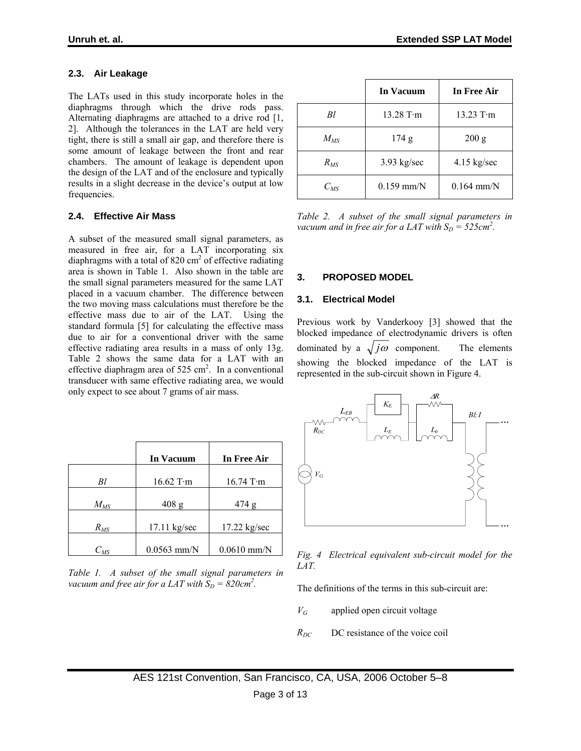# **2.3. Air Leakage**

The LATs used in this study incorporate holes in the diaphragms through which the drive rods pass. Alternating diaphragms are attached to a drive rod [1, 2]. Although the tolerances in the LAT are held very tight, there is still a small air gap, and therefore there is some amount of leakage between the front and rear chambers. The amount of leakage is dependent upon the design of the LAT and of the enclosure and typically results in a slight decrease in the device's output at low frequencies.

## **2.4. Effective Air Mass**

A subset of the measured small signal parameters, as measured in free air, for a LAT incorporating six diaphragms with a total of 820  $\text{cm}^2$  of effective radiating area is shown in Table 1. Also shown in the table are the small signal parameters measured for the same LAT placed in a vacuum chamber. The difference between the two moving mass calculations must therefore be the effective mass due to air of the LAT. Using the standard formula [5] for calculating the effective mass due to air for a conventional driver with the same effective radiating area results in a mass of only 13g. Table 2 shows the same data for a LAT with an effective diaphragm area of  $525 \text{ cm}^2$ . In a conventional transducer with same effective radiating area, we would only expect to see about 7 grams of air mass.

|          | In Vacuum     | In Free Air    |
|----------|---------------|----------------|
| Βl       | $16.62$ T·m   | $16.74$ T·m    |
| $M_{MS}$ | $408$ g       | 474 g          |
| $R_{MS}$ | 17.11 kg/sec  | $17.22$ kg/sec |
| $C_{MS}$ | $0.0563$ mm/N | $0.0610$ mm/N  |

*Table 1. A subset of the small signal parameters in*  vacuum and free air for a LAT with  $\widetilde{S}_D = 820$ cm<sup>2</sup>.

|          | In Vacuum           | In Free Air           |
|----------|---------------------|-----------------------|
| Bl.      | $13.28$ T $\cdot$ m | $13.23$ T $\cdot$ m   |
| $M_{MS}$ | 174 g               | 200 g                 |
| $R_{MS}$ | $3.93$ kg/sec       | $4.15 \text{ kg/sec}$ |
| $C_{MS}$ | $0.159$ mm/N        | $0.164$ mm/N          |

*Table 2. A subset of the small signal parameters in vacuum and in free air for a LAT with*  $S_D = 525$ *cm*<sup>2</sup>.

## **3. PROPOSED MODEL**

## **3.1. Electrical Model**

Previous work by Vanderkooy [3] showed that the blocked impedance of electrodynamic drivers is often dominated by a  $\sqrt{j\omega}$  component. The elements showing the blocked impedance of the LAT is represented in the sub-circuit shown in Figure 4.



#### *Fig. 4 Electrical equivalent sub-circuit model for the LAT.*

The definitions of the terms in this sub-circuit are:

- *VG* applied open circuit voltage
- $R_{DC}$  DC resistance of the voice coil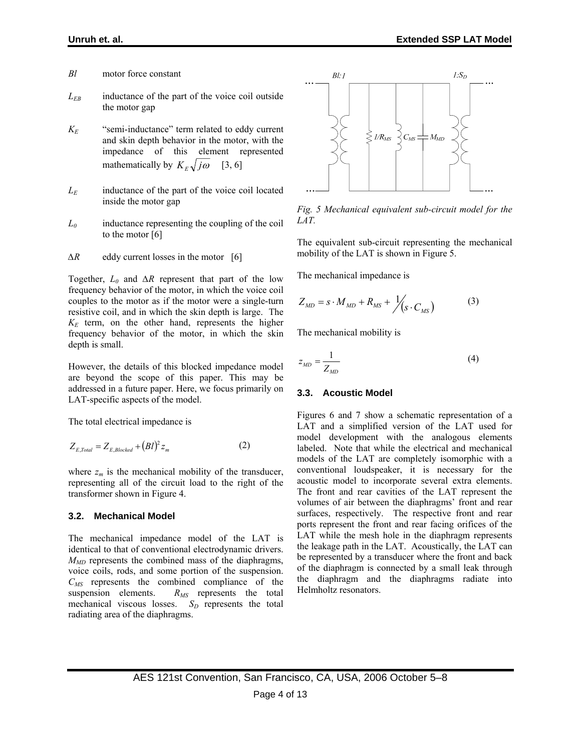- *Bl* motor force constant
- *LEB* inductance of the part of the voice coil outside the motor gap
- *KE* "semi-inductance" term related to eddy current and skin depth behavior in the motor, with the impedance of this element represented mathematically by  $K_{F}\sqrt{j\omega}$  [3, 6]
- *LE* inductance of the part of the voice coil located inside the motor gap
- *L0* inductance representing the coupling of the coil to the motor [6]
- *∆R* eddy current losses in the motor [6]

Together, *L0* and *∆R* represent that part of the low frequency behavior of the motor, in which the voice coil couples to the motor as if the motor were a single-turn resistive coil, and in which the skin depth is large. The *KE* term, on the other hand, represents the higher frequency behavior of the motor, in which the skin depth is small.

However, the details of this blocked impedance model are beyond the scope of this paper. This may be addressed in a future paper. Here, we focus primarily on LAT-specific aspects of the model.

The total electrical impedance is

$$
Z_{E,Total} = Z_{E,Blocked} + (Bl)^2 z_m \tag{2}
$$

where  $z_m$  is the mechanical mobility of the transducer, representing all of the circuit load to the right of the transformer shown in Figure 4.

#### **3.2. Mechanical Model**

The mechanical impedance model of the LAT is identical to that of conventional electrodynamic drivers.  $M_{MD}$  represents the combined mass of the diaphragms, voice coils, rods, and some portion of the suspension. *CMS* represents the combined compliance of the suspension elements.  $R_{MS}$  represents the total mechanical viscous losses.  $S_D$  represents the total radiating area of the diaphragms.



*Fig. 5 Mechanical equivalent sub-circuit model for the LAT.* 

The equivalent sub-circuit representing the mechanical mobility of the LAT is shown in Figure 5.

The mechanical impedance is

$$
Z_{MD} = s \cdot M_{MD} + R_{MS} + \frac{1}{s} \cdot C_{MS}
$$
 (3)

The mechanical mobility is

$$
z_{MD} = \frac{1}{Z_{MD}}\tag{4}
$$

#### **3.3. Acoustic Model**

Figures 6 and 7 show a schematic representation of a LAT and a simplified version of the LAT used for model development with the analogous elements labeled. Note that while the electrical and mechanical models of the LAT are completely isomorphic with a conventional loudspeaker, it is necessary for the acoustic model to incorporate several extra elements. The front and rear cavities of the LAT represent the volumes of air between the diaphragms' front and rear surfaces, respectively. The respective front and rear ports represent the front and rear facing orifices of the LAT while the mesh hole in the diaphragm represents the leakage path in the LAT. Acoustically, the LAT can be represented by a transducer where the front and back of the diaphragm is connected by a small leak through the diaphragm and the diaphragms radiate into Helmholtz resonators.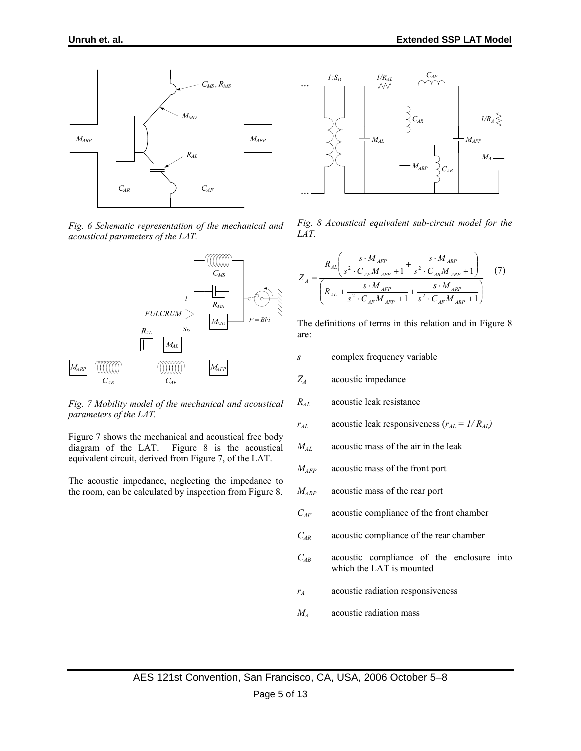

*Fig. 6 Schematic representation of the mechanical and acoustical parameters of the LAT.* 



*Fig. 7 Mobility model of the mechanical and acoustical parameters of the LAT.* 

Figure 7 shows the mechanical and acoustical free body diagram of the LAT. Figure 8 is the acoustical equivalent circuit, derived from Figure 7, of the LAT.

The acoustic impedance, neglecting the impedance to the room, can be calculated by inspection from Figure 8.



*Fig. 8 Acoustical equivalent sub-circuit model for the LAT.* 

$$
Z_{A} = \frac{R_{AL} \left( \frac{s \cdot M_{AFP}}{s^{2} \cdot C_{AF} M_{AFP} + 1} + \frac{s \cdot M_{AP}}{s^{2} \cdot C_{AB} M_{ARP} + 1} \right)}{\left( R_{AL} + \frac{s \cdot M_{AFP}}{s^{2} \cdot C_{AF} M_{AFP} + 1} + \frac{s \cdot M_{ARP}}{s^{2} \cdot C_{AF} M_{ARP} + 1} \right)}
$$
(7)

The definitions of terms in this relation and in Figure 8 are:

- *s* complex frequency variable
- *ZA* acoustic impedance
- *RAL* acoustic leak resistance
- $r_{AL}$  acoustic leak responsiveness ( $r_{AL} = 1/R_{AL}$ )
- *MAL* acoustic mass of the air in the leak
- *MAFP* acoustic mass of the front port
- *MARP* acoustic mass of the rear port
- *CAF* acoustic compliance of the front chamber
- *CAR* acoustic compliance of the rear chamber
- *CAB* acoustic compliance of the enclosure into which the LAT is mounted
- *rA* acoustic radiation responsiveness
- *MA* acoustic radiation mass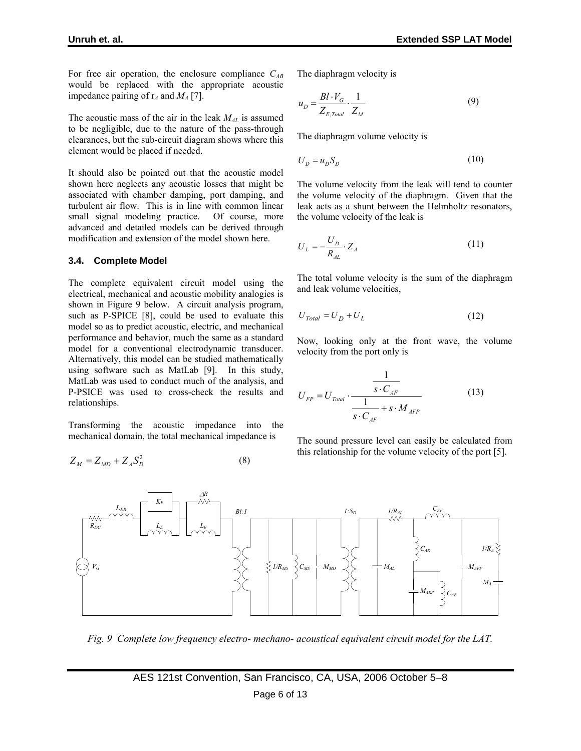For free air operation, the enclosure compliance *CAB* would be replaced with the appropriate acoustic impedance pairing of  $r_A$  and  $M_A$  [7].

The acoustic mass of the air in the leak *MAL* is assumed to be negligible, due to the nature of the pass-through clearances, but the sub-circuit diagram shows where this element would be placed if needed.

It should also be pointed out that the acoustic model shown here neglects any acoustic losses that might be associated with chamber damping, port damping, and turbulent air flow. This is in line with common linear small signal modeling practice. Of course, more advanced and detailed models can be derived through modification and extension of the model shown here.

#### **3.4. Complete Model**

The complete equivalent circuit model using the electrical, mechanical and acoustic mobility analogies is shown in Figure 9 below. A circuit analysis program, such as P-SPICE [8], could be used to evaluate this model so as to predict acoustic, electric, and mechanical performance and behavior, much the same as a standard model for a conventional electrodynamic transducer. Alternatively, this model can be studied mathematically using software such as MatLab [9]. In this study, MatLab was used to conduct much of the analysis, and P-PSICE was used to cross-check the results and relationships.

Transforming the acoustic impedance into the mechanical domain, the total mechanical impedance is

$$
Z_M = Z_{MD} + Z_A S_D^2 \tag{8}
$$

The diaphragm velocity is

$$
u_D = \frac{Bl \cdot V_G}{Z_{E,Total}} \cdot \frac{1}{Z_M} \tag{9}
$$

The diaphragm volume velocity is

$$
U_D = u_D S_D \tag{10}
$$

The volume velocity from the leak will tend to counter the volume velocity of the diaphragm. Given that the leak acts as a shunt between the Helmholtz resonators, the volume velocity of the leak is

$$
U_L = -\frac{U_D}{R_{AL}} \cdot Z_A \tag{11}
$$

The total volume velocity is the sum of the diaphragm and leak volume velocities,

$$
U_{Total} = U_D + U_L \tag{12}
$$

Now, looking only at the front wave, the volume velocity from the port only is

$$
U_{FP} = U_{\text{Total}} \cdot \frac{\frac{1}{s \cdot C_{\text{AF}}}}{\frac{1}{s \cdot C_{\text{AF}} + s \cdot M_{\text{AFP}}}}
$$
(13)

The sound pressure level can easily be calculated from this relationship for the volume velocity of the port [5].



*Fig. 9 Complete low frequency electro- mechano- acoustical equivalent circuit model for the LAT.*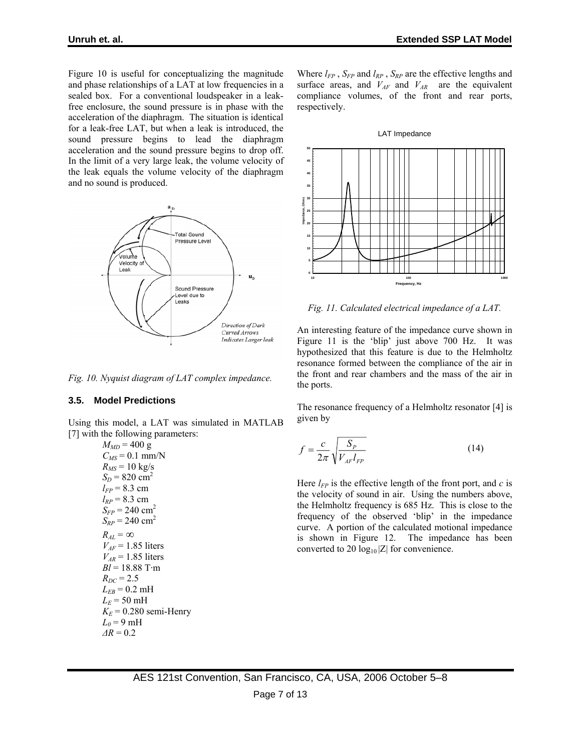Figure 10 is useful for conceptualizing the magnitude and phase relationships of a LAT at low frequencies in a sealed box. For a conventional loudspeaker in a leakfree enclosure, the sound pressure is in phase with the acceleration of the diaphragm. The situation is identical for a leak-free LAT, but when a leak is introduced, the sound pressure begins to lead the diaphragm acceleration and the sound pressure begins to drop off. In the limit of a very large leak, the volume velocity of the leak equals the volume velocity of the diaphragm and no sound is produced.



*Fig. 10. Nyquist diagram of LAT complex impedance.* 

## **3.5. Model Predictions**

Using this model, a LAT was simulated in MATLAB [7] with the following parameters:

 $M_{MD}$  = 400 g  $C_{MS} = 0.1$  mm/N  $R_{MS} = 10 \text{ kg/s}$  $S_D = 820$  cm<sup>2</sup>  $l_{FP}$  = 8.3 cm  $l_{RP}$  = 8.3 cm  $S_{FP}$  = 240 cm<sup>2</sup>  $S_{RP}$  = 240 cm<sup>2</sup>  $R_{AL} = \infty$  $V_{AF}$  = 1.85 liters  $V_{AR}$  = 1.85 liters *Bl* = 18.88 T·m  $R_{DC} = 2.5$  $L_{EB} = 0.2 \text{ mH}$  $L_E$  = 50 mH  $K_E$  = 0.280 semi-Henry  $L_0$  = 9 mH  $\Delta R = 0.2$ 

Where  $l_{FP}$ ,  $S_{FP}$  and  $l_{RP}$ ,  $S_{RP}$  are the effective lengths and surface areas, and  $V_{AF}$  and  $V_{AR}$  are the equivalent compliance volumes, of the front and rear ports, respectively.

#### LAT Impedance



*Fig. 11. Calculated electrical impedance of a LAT.* 

An interesting feature of the impedance curve shown in Figure 11 is the 'blip' just above 700 Hz. It was hypothesized that this feature is due to the Helmholtz resonance formed between the compliance of the air in the front and rear chambers and the mass of the air in the ports.

The resonance frequency of a Helmholtz resonator [4] is given by

$$
f = \frac{c}{2\pi} \sqrt{\frac{S_P}{V_{AF}l_{FP}}}
$$
(14)

Here  $l_{FP}$  is the effective length of the front port, and  $c$  is the velocity of sound in air. Using the numbers above, the Helmholtz frequency is 685 Hz. This is close to the frequency of the observed 'blip' in the impedance curve. A portion of the calculated motional impedance is shown in Figure 12. The impedance has been converted to 20  $log_{10} |Z|$  for convenience.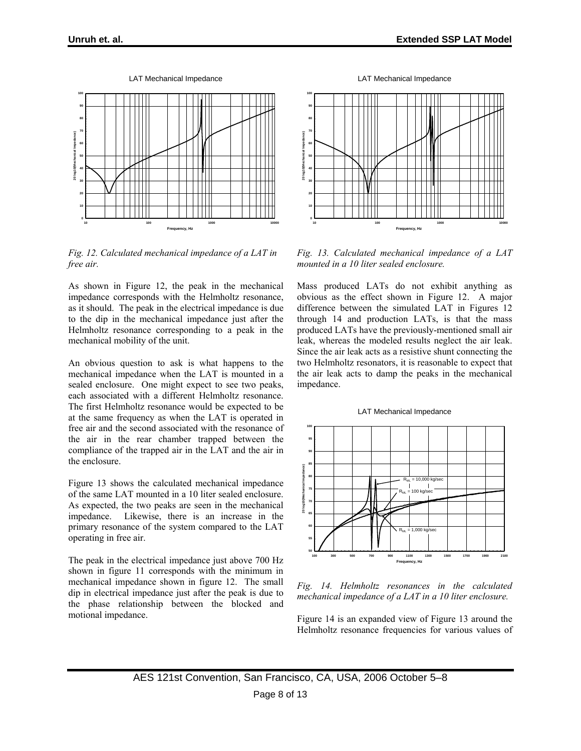



*Fig. 12. Calculated mechanical impedance of a LAT in free air.* 

As shown in Figure 12, the peak in the mechanical impedance corresponds with the Helmholtz resonance, as it should. The peak in the electrical impedance is due to the dip in the mechanical impedance just after the Helmholtz resonance corresponding to a peak in the mechanical mobility of the unit.

An obvious question to ask is what happens to the mechanical impedance when the LAT is mounted in a sealed enclosure. One might expect to see two peaks, each associated with a different Helmholtz resonance. The first Helmholtz resonance would be expected to be at the same frequency as when the LAT is operated in free air and the second associated with the resonance of the air in the rear chamber trapped between the compliance of the trapped air in the LAT and the air in the enclosure.

Figure 13 shows the calculated mechanical impedance of the same LAT mounted in a 10 liter sealed enclosure. As expected, the two peaks are seen in the mechanical impedance. Likewise, there is an increase in the primary resonance of the system compared to the LAT operating in free air.

The peak in the electrical impedance just above 700 Hz shown in figure 11 corresponds with the minimum in mechanical impedance shown in figure 12. The small dip in electrical impedance just after the peak is due to the phase relationship between the blocked and motional impedance.

LAT Mechanical Impedance



*Fig. 13. Calculated mechanical impedance of a LAT mounted in a 10 liter sealed enclosure.* 

Mass produced LATs do not exhibit anything as obvious as the effect shown in Figure 12. A major difference between the simulated LAT in Figures 12 through 14 and production LATs, is that the mass produced LATs have the previously-mentioned small air leak, whereas the modeled results neglect the air leak. Since the air leak acts as a resistive shunt connecting the two Helmholtz resonators, it is reasonable to expect that the air leak acts to damp the peaks in the mechanical impedance.





*Fig. 14. Helmholtz resonances in the calculated mechanical impedance of a LAT in a 10 liter enclosure.* 

Figure 14 is an expanded view of Figure 13 around the Helmholtz resonance frequencies for various values of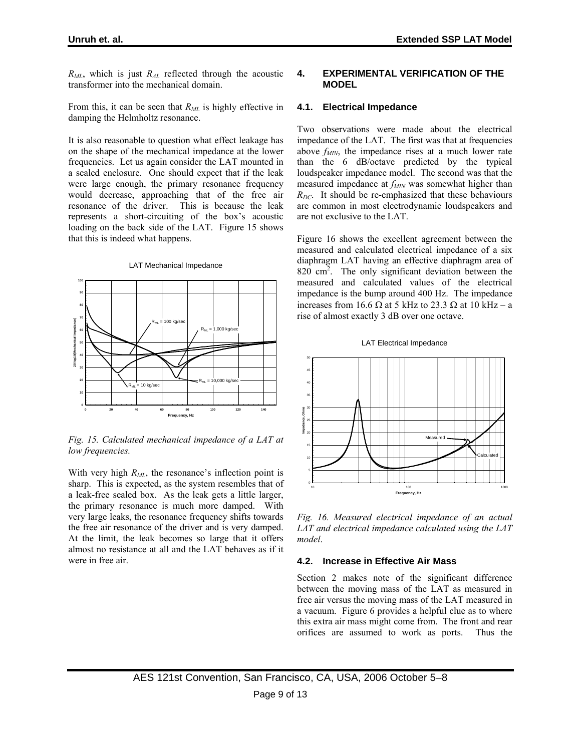$R_{ML}$ , which is just  $R_{AL}$  reflected through the acoustic transformer into the mechanical domain.

From this, it can be seen that  $R_{ML}$  is highly effective in damping the Helmholtz resonance.

It is also reasonable to question what effect leakage has on the shape of the mechanical impedance at the lower frequencies. Let us again consider the LAT mounted in a sealed enclosure. One should expect that if the leak were large enough, the primary resonance frequency would decrease, approaching that of the free air resonance of the driver. This is because the leak represents a short-circuiting of the box's acoustic loading on the back side of the LAT. Figure 15 shows that this is indeed what happens.



LAT Mechanical Impedance

#### *Fig. 15. Calculated mechanical impedance of a LAT at low frequencies.*

With very high  $R_{ML}$ , the resonance's inflection point is sharp. This is expected, as the system resembles that of a leak-free sealed box. As the leak gets a little larger, the primary resonance is much more damped. With very large leaks, the resonance frequency shifts towards the free air resonance of the driver and is very damped. At the limit, the leak becomes so large that it offers almost no resistance at all and the LAT behaves as if it were in free air.

## **4. EXPERIMENTAL VERIFICATION OF THE MODEL**

#### **4.1. Electrical Impedance**

Two observations were made about the electrical impedance of the LAT. The first was that at frequencies above  $f_{MIN}$ , the impedance rises at a much lower rate than the 6 dB/octave predicted by the typical loudspeaker impedance model. The second was that the measured impedance at  $f_{MIN}$  was somewhat higher than  $R_{DC}$ . It should be re-emphasized that these behaviours are common in most electrodynamic loudspeakers and are not exclusive to the LAT.

Figure 16 shows the excellent agreement between the measured and calculated electrical impedance of a six diaphragm LAT having an effective diaphragm area of  $820 \text{ cm}^2$ . The only significant deviation between the measured and calculated values of the electrical impedance is the bump around 400 Hz. The impedance increases from 16.6  $\Omega$  at 5 kHz to 23.3  $\Omega$  at 10 kHz – a rise of almost exactly 3 dB over one octave.





*Fig. 16. Measured electrical impedance of an actual LAT and electrical impedance calculated using the LAT model*.

## **4.2. Increase in Effective Air Mass**

Section 2 makes note of the significant difference between the moving mass of the LAT as measured in free air versus the moving mass of the LAT measured in a vacuum. Figure 6 provides a helpful clue as to where this extra air mass might come from. The front and rear orifices are assumed to work as ports. Thus the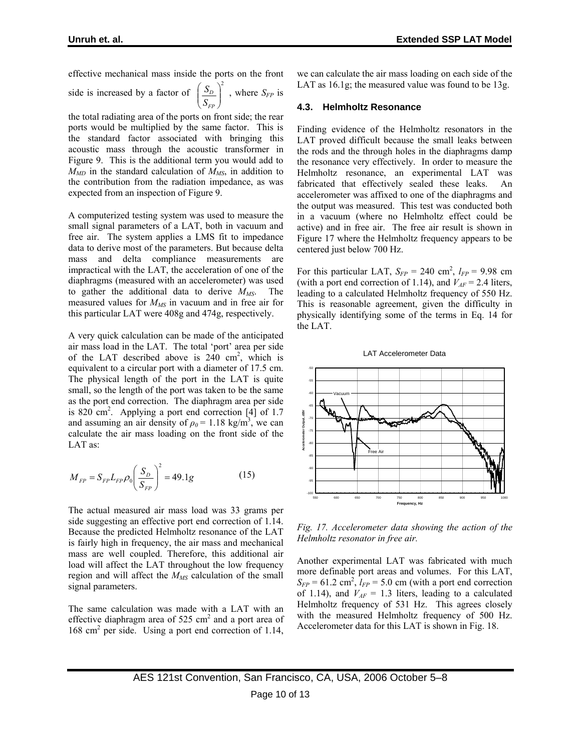effective mechanical mass inside the ports on the front side is increased by a factor of  $\left(S_D\right)^2$  $\overline{\phantom{a}}$ ⎠ ⎞  $\parallel$ ⎝  $\big($ *FP D S*  $S_D$ , where  $S_{FP}$  is

the total radiating area of the ports on front side; the rear ports would be multiplied by the same factor. This is the standard factor associated with bringing this acoustic mass through the acoustic transformer in Figure 9. This is the additional term you would add to  $M_{MD}$  in the standard calculation of  $M_{MS}$ , in addition to the contribution from the radiation impedance, as was expected from an inspection of Figure 9.

A computerized testing system was used to measure the small signal parameters of a LAT, both in vacuum and free air. The system applies a LMS fit to impedance data to derive most of the parameters. But because delta mass and delta compliance measurements are impractical with the LAT, the acceleration of one of the diaphragms (measured with an accelerometer) was used to gather the additional data to derive  $M_{MS}$ . The measured values for *MMS* in vacuum and in free air for this particular LAT were 408g and 474g, respectively.

A very quick calculation can be made of the anticipated air mass load in the LAT. The total 'port' area per side of the LAT described above is  $240 \text{ cm}^2$ , which is equivalent to a circular port with a diameter of 17.5 cm. The physical length of the port in the LAT is quite small, so the length of the port was taken to be the same as the port end correction. The diaphragm area per side is  $820 \text{ cm}^2$ . Applying a port end correction [4] of 1.7 and assuming an air density of  $\rho_0 = 1.18 \text{ kg/m}^3$ , we can calculate the air mass loading on the front side of the LAT as:

$$
M_{FP} = S_{FP} L_{FP} \rho_0 \left(\frac{S_D}{S_{FP}}\right)^2 = 49.1g
$$
 (15)

The actual measured air mass load was 33 grams per side suggesting an effective port end correction of 1.14. Because the predicted Helmholtz resonance of the LAT is fairly high in frequency, the air mass and mechanical mass are well coupled. Therefore, this additional air load will affect the LAT throughout the low frequency region and will affect the *MMS* calculation of the small signal parameters.

The same calculation was made with a LAT with an effective diaphragm area of  $525 \text{ cm}^2$  and a port area of 168 cm2 per side. Using a port end correction of 1.14, we can calculate the air mass loading on each side of the LAT as 16.1g; the measured value was found to be 13g.

#### **4.3. Helmholtz Resonance**

Finding evidence of the Helmholtz resonators in the LAT proved difficult because the small leaks between the rods and the through holes in the diaphragms damp the resonance very effectively. In order to measure the Helmholtz resonance, an experimental LAT was fabricated that effectively sealed these leaks. An accelerometer was affixed to one of the diaphragms and the output was measured. This test was conducted both in a vacuum (where no Helmholtz effect could be active) and in free air. The free air result is shown in Figure 17 where the Helmholtz frequency appears to be centered just below 700 Hz.

For this particular LAT,  $S_{FP} = 240 \text{ cm}^2$ ,  $l_{FP} = 9.98 \text{ cm}$ (with a port end correction of 1.14), and  $V_{AF} = 2.4$  liters, leading to a calculated Helmholtz frequency of 550 Hz. This is reasonable agreement, given the difficulty in physically identifying some of the terms in Eq. 14 for the LAT.



*Fig. 17. Accelerometer data showing the action of the Helmholtz resonator in free air.* 

Another experimental LAT was fabricated with much more definable port areas and volumes. For this LAT,  $S_{FP}$  = 61.2 cm<sup>2</sup>,  $l_{FP}$  = 5.0 cm (with a port end correction of 1.14), and  $V_{AF} = 1.3$  liters, leading to a calculated Helmholtz frequency of 531 Hz. This agrees closely with the measured Helmholtz frequency of 500 Hz. Accelerometer data for this LAT is shown in Fig. 18.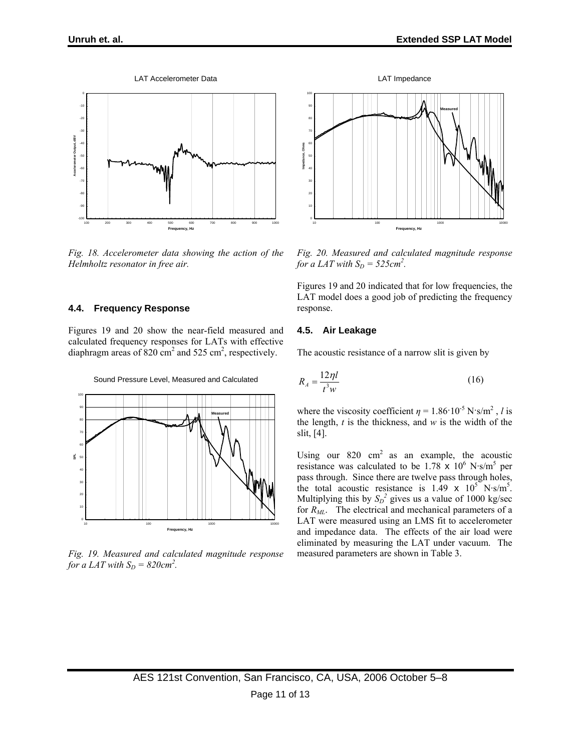LAT Accelerometer Data



*Fig. 18. Accelerometer data showing the action of the Helmholtz resonator in free air.* 

#### **4.4. Frequency Response**

Figures 19 and 20 show the near-field measured and calculated frequency responses for LATs with effective diaphragm areas of  $820 \text{ cm}^2$  and  $525 \text{ cm}^2$ , respectively.



*Fig. 19. Measured and calculated magnitude response for a LAT with*  $S_D = 820 \text{cm}^2$ .



*Fig. 20. Measured and calculated magnitude response for a LAT with*  $S_D = 525$ *cm*<sup>2</sup>.

Figures 19 and 20 indicated that for low frequencies, the LAT model does a good job of predicting the frequency response.

#### **4.5. Air Leakage**

The acoustic resistance of a narrow slit is given by

$$
R_A = \frac{12\eta l}{t^3 w} \tag{16}
$$

where the viscosity coefficient  $\eta = 1.86 \cdot 10^{-5} \text{ N} \cdot \text{s/m}^2$ , *l* is the length, *t* is the thickness, and *w* is the width of the slit, [4].

Using our  $820 \text{ cm}^2$  as an example, the acoustic resistance was calculated to be  $1.78 \times 10^6$  N·s/m<sup>5</sup> per pass through. Since there are twelve pass through holes, the total acoustic resistance is  $1.49 \times 10^5$  N·s/m<sup>5</sup>. Multiplying this by  $S_D^2$  gives us a value of 1000 kg/sec for *R<sub>ML</sub>*. The electrical and mechanical parameters of a LAT were measured using an LMS fit to accelerometer and impedance data. The effects of the air load were eliminated by measuring the LAT under vacuum. The measured parameters are shown in Table 3.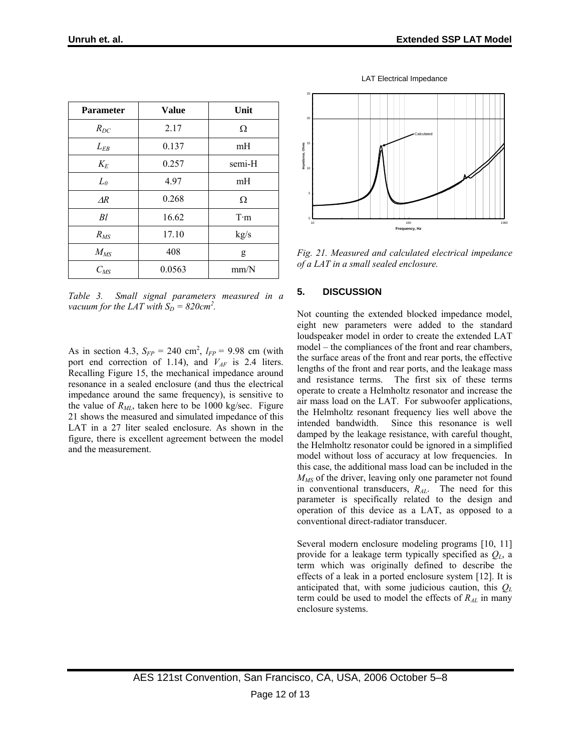| <b>Parameter</b> | <b>Value</b> | Unit        |
|------------------|--------------|-------------|
| $R_{DC}$         | 2.17         | Ω           |
| $L_{EB}$         | 0.137        | mH          |
| $K_E$            | 0.257        | semi-H      |
| $L_{\theta}$     | 4.97         | mH          |
| $\overline{AR}$  | 0.268        | Ω           |
| Bl               | 16.62        | $T \cdot m$ |
| $R_{MS}$         | 17.10        | kg/s        |
| $M_{MS}$         | 408          | g           |
| $C_{MS}$         | 0.0563       | mm/N        |

*Table 3. Small signal parameters measured in a vacuum for the LAT with*  $S_D = 820$ *cm*<sup>2</sup>.

As in section 4.3,  $S_{FP} = 240 \text{ cm}^2$ ,  $l_{FP} = 9.98 \text{ cm}$  (with port end correction of 1.14), and  $V_{AF}$  is 2.4 liters. Recalling Figure 15, the mechanical impedance around resonance in a sealed enclosure (and thus the electrical impedance around the same frequency), is sensitive to the value of  $R_{ML}$ , taken here to be 1000 kg/sec. Figure 21 shows the measured and simulated impedance of this LAT in a 27 liter sealed enclosure. As shown in the figure, there is excellent agreement between the model and the measurement.



LAT Electrical Impedance

*Fig. 21. Measured and calculated electrical impedance of a LAT in a small sealed enclosure.* 

## **5. DISCUSSION**

Not counting the extended blocked impedance model, eight new parameters were added to the standard loudspeaker model in order to create the extended LAT model – the compliances of the front and rear chambers, the surface areas of the front and rear ports, the effective lengths of the front and rear ports, and the leakage mass and resistance terms. The first six of these terms operate to create a Helmholtz resonator and increase the air mass load on the LAT. For subwoofer applications, the Helmholtz resonant frequency lies well above the intended bandwidth. Since this resonance is well damped by the leakage resistance, with careful thought, the Helmholtz resonator could be ignored in a simplified model without loss of accuracy at low frequencies. In this case, the additional mass load can be included in the *M<sub>MS</sub>* of the driver, leaving only one parameter not found in conventional transducers, *RAL*. The need for this parameter is specifically related to the design and operation of this device as a LAT, as opposed to a conventional direct-radiator transducer.

Several modern enclosure modeling programs [10, 11] provide for a leakage term typically specified as *QL*, a term which was originally defined to describe the effects of a leak in a ported enclosure system [12]. It is anticipated that, with some judicious caution, this *QL* term could be used to model the effects of *RAL* in many enclosure systems.